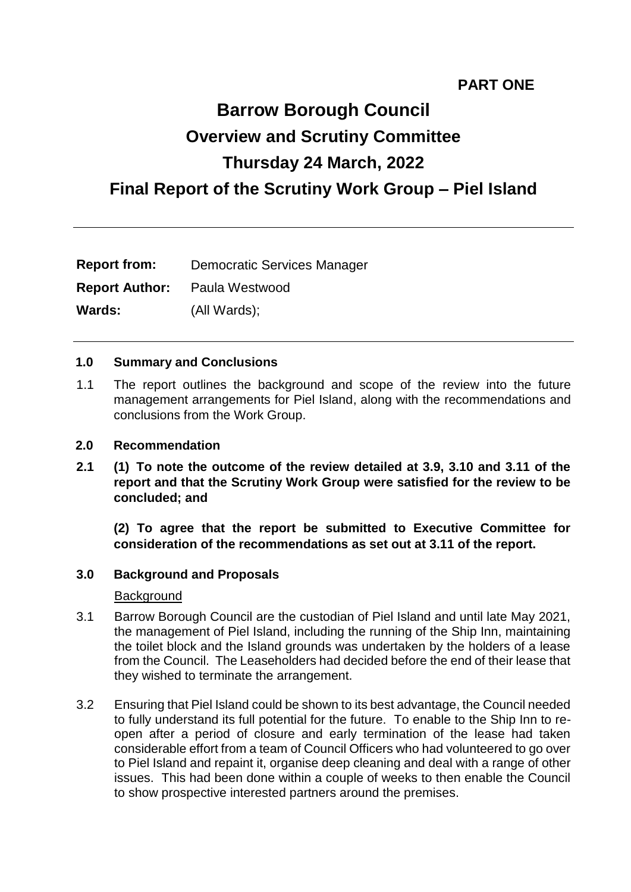# **PART ONE**

# **Barrow Borough Council Overview and Scrutiny Committee Thursday 24 March, 2022 Final Report of the Scrutiny Work Group – Piel Island**

| <b>Report from:</b>   | <b>Democratic Services Manager</b> |
|-----------------------|------------------------------------|
| <b>Report Author:</b> | Paula Westwood                     |
| <b>Wards:</b>         | (All Wards);                       |

#### **1.0 Summary and Conclusions**

1.1 The report outlines the background and scope of the review into the future management arrangements for Piel Island, along with the recommendations and conclusions from the Work Group.

#### **2.0 Recommendation**

**2.1 (1) To note the outcome of the review detailed at 3.9, 3.10 and 3.11 of the report and that the Scrutiny Work Group were satisfied for the review to be concluded; and**

**(2) To agree that the report be submitted to Executive Committee for consideration of the recommendations as set out at 3.11 of the report.**

#### **3.0 Background and Proposals**

#### **Background**

- 3.1 Barrow Borough Council are the custodian of Piel Island and until late May 2021, the management of Piel Island, including the running of the Ship Inn, maintaining the toilet block and the Island grounds was undertaken by the holders of a lease from the Council. The Leaseholders had decided before the end of their lease that they wished to terminate the arrangement.
- 3.2 Ensuring that Piel Island could be shown to its best advantage, the Council needed to fully understand its full potential for the future. To enable to the Ship Inn to reopen after a period of closure and early termination of the lease had taken considerable effort from a team of Council Officers who had volunteered to go over to Piel Island and repaint it, organise deep cleaning and deal with a range of other issues. This had been done within a couple of weeks to then enable the Council to show prospective interested partners around the premises.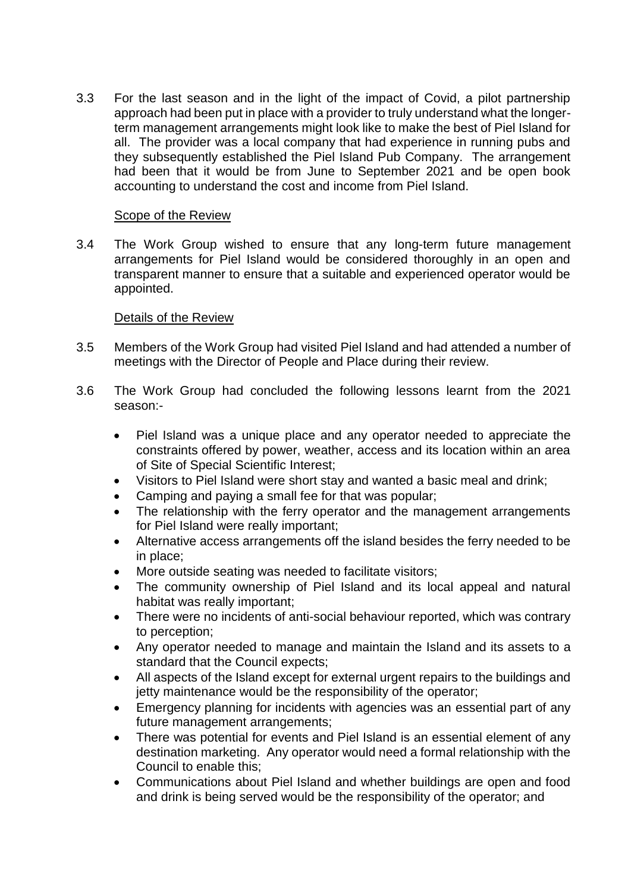3.3 For the last season and in the light of the impact of Covid, a pilot partnership approach had been put in place with a provider to truly understand what the longerterm management arrangements might look like to make the best of Piel Island for all. The provider was a local company that had experience in running pubs and they subsequently established the Piel Island Pub Company. The arrangement had been that it would be from June to September 2021 and be open book accounting to understand the cost and income from Piel Island.

#### Scope of the Review

3.4 The Work Group wished to ensure that any long-term future management arrangements for Piel Island would be considered thoroughly in an open and transparent manner to ensure that a suitable and experienced operator would be appointed.

#### Details of the Review

- 3.5 Members of the Work Group had visited Piel Island and had attended a number of meetings with the Director of People and Place during their review.
- 3.6 The Work Group had concluded the following lessons learnt from the 2021 season:-
	- Piel Island was a unique place and any operator needed to appreciate the constraints offered by power, weather, access and its location within an area of Site of Special Scientific Interest;
	- Visitors to Piel Island were short stay and wanted a basic meal and drink;
	- Camping and paying a small fee for that was popular;
	- The relationship with the ferry operator and the management arrangements for Piel Island were really important;
	- Alternative access arrangements off the island besides the ferry needed to be in place;
	- More outside seating was needed to facilitate visitors;
	- The community ownership of Piel Island and its local appeal and natural habitat was really important;
	- There were no incidents of anti-social behaviour reported, which was contrary to perception;
	- Any operator needed to manage and maintain the Island and its assets to a standard that the Council expects;
	- All aspects of the Island except for external urgent repairs to the buildings and jetty maintenance would be the responsibility of the operator;
	- Emergency planning for incidents with agencies was an essential part of any future management arrangements;
	- There was potential for events and Piel Island is an essential element of any destination marketing. Any operator would need a formal relationship with the Council to enable this;
	- Communications about Piel Island and whether buildings are open and food and drink is being served would be the responsibility of the operator; and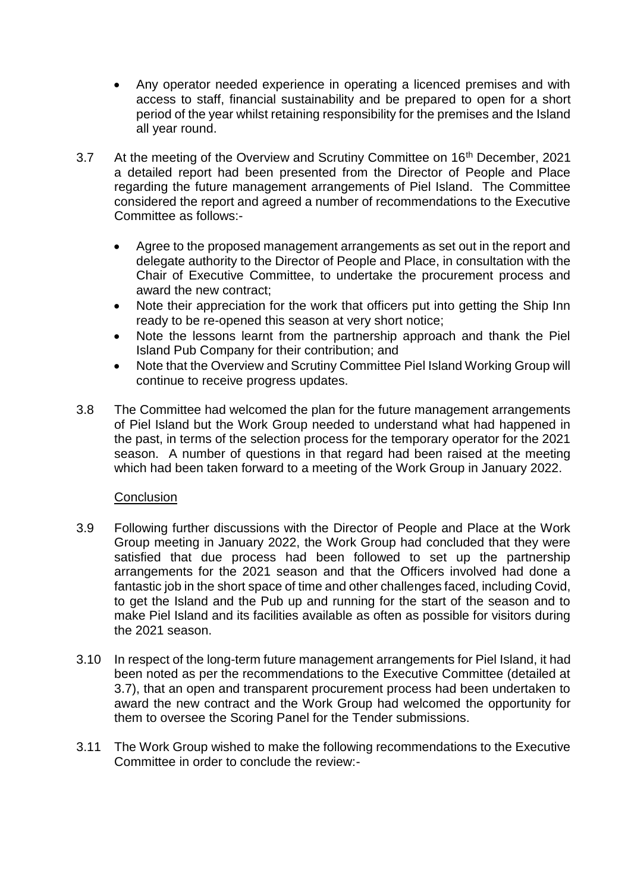- Any operator needed experience in operating a licenced premises and with access to staff, financial sustainability and be prepared to open for a short period of the year whilst retaining responsibility for the premises and the Island all year round.
- 3.7 At the meeting of the Overview and Scrutiny Committee on 16<sup>th</sup> December, 2021 a detailed report had been presented from the Director of People and Place regarding the future management arrangements of Piel Island. The Committee considered the report and agreed a number of recommendations to the Executive Committee as follows:-
	- Agree to the proposed management arrangements as set out in the report and delegate authority to the Director of People and Place, in consultation with the Chair of Executive Committee, to undertake the procurement process and award the new contract;
	- Note their appreciation for the work that officers put into getting the Ship Inn ready to be re-opened this season at very short notice;
	- Note the lessons learnt from the partnership approach and thank the Piel Island Pub Company for their contribution; and
	- Note that the Overview and Scrutiny Committee Piel Island Working Group will continue to receive progress updates.
- 3.8 The Committee had welcomed the plan for the future management arrangements of Piel Island but the Work Group needed to understand what had happened in the past, in terms of the selection process for the temporary operator for the 2021 season. A number of questions in that regard had been raised at the meeting which had been taken forward to a meeting of the Work Group in January 2022.

### **Conclusion**

- 3.9 Following further discussions with the Director of People and Place at the Work Group meeting in January 2022, the Work Group had concluded that they were satisfied that due process had been followed to set up the partnership arrangements for the 2021 season and that the Officers involved had done a fantastic job in the short space of time and other challenges faced, including Covid, to get the Island and the Pub up and running for the start of the season and to make Piel Island and its facilities available as often as possible for visitors during the 2021 season.
- 3.10 In respect of the long-term future management arrangements for Piel Island, it had been noted as per the recommendations to the Executive Committee (detailed at 3.7), that an open and transparent procurement process had been undertaken to award the new contract and the Work Group had welcomed the opportunity for them to oversee the Scoring Panel for the Tender submissions.
- 3.11 The Work Group wished to make the following recommendations to the Executive Committee in order to conclude the review:-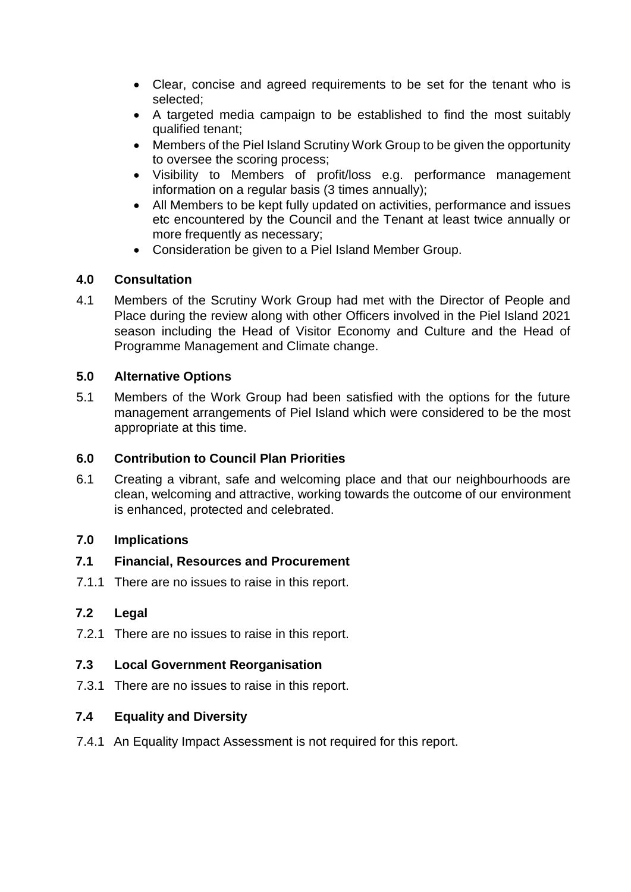- Clear, concise and agreed requirements to be set for the tenant who is selected;
- A targeted media campaign to be established to find the most suitably qualified tenant;
- Members of the Piel Island Scrutiny Work Group to be given the opportunity to oversee the scoring process;
- Visibility to Members of profit/loss e.g. performance management information on a regular basis (3 times annually);
- All Members to be kept fully updated on activities, performance and issues etc encountered by the Council and the Tenant at least twice annually or more frequently as necessary;
- Consideration be given to a Piel Island Member Group.

## **4.0 Consultation**

4.1 Members of the Scrutiny Work Group had met with the Director of People and Place during the review along with other Officers involved in the Piel Island 2021 season including the Head of Visitor Economy and Culture and the Head of Programme Management and Climate change.

## **5.0 Alternative Options**

5.1 Members of the Work Group had been satisfied with the options for the future management arrangements of Piel Island which were considered to be the most appropriate at this time.

# **6.0 Contribution to Council Plan Priorities**

6.1 Creating a vibrant, safe and welcoming place and that our neighbourhoods are clean, welcoming and attractive, working towards the outcome of our environment is enhanced, protected and celebrated.

# **7.0 Implications**

## **7.1 Financial, Resources and Procurement**

7.1.1 There are no issues to raise in this report.

## **7.2 Legal**

7.2.1 There are no issues to raise in this report.

## **7.3 Local Government Reorganisation**

7.3.1 There are no issues to raise in this report.

# **7.4 Equality and Diversity**

7.4.1 An Equality Impact Assessment is not required for this report.